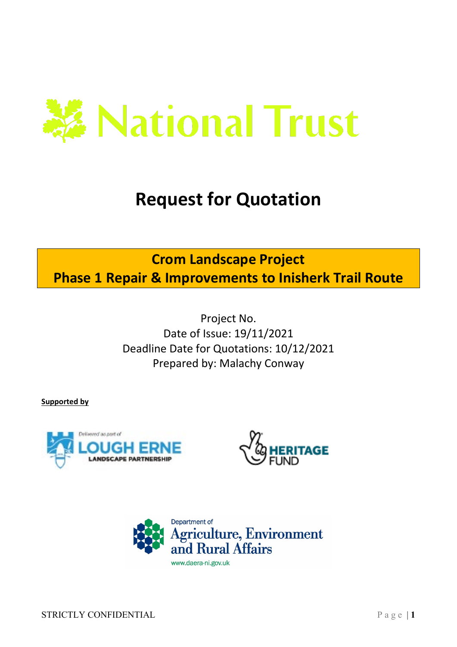

# **Request for Quotation**

## **Crom Landscape Project**

**Phase 1 Repair & Improvements to Inisherk Trail Route**

Project No. Date of Issue: 19/11/2021 Deadline Date for Quotations: 10/12/2021 Prepared by: Malachy Conway

**Supported by**





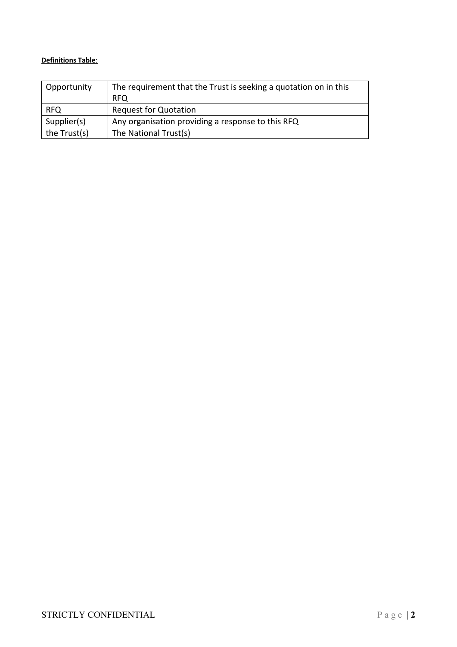## **Definitions Table**:

| Opportunity  | The requirement that the Trust is seeking a quotation on in this |
|--------------|------------------------------------------------------------------|
|              | <b>RFO</b>                                                       |
| <b>RFQ</b>   | <b>Request for Quotation</b>                                     |
| Supplier(s)  | Any organisation providing a response to this RFQ                |
| the Trust(s) | The National Trust(s)                                            |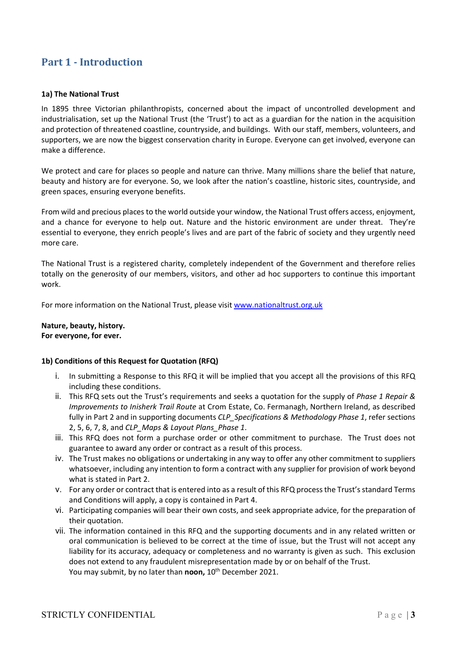## **Part 1 - Introduction**

## **1a) The National Trust**

In 1895 three Victorian philanthropists, concerned about the impact of uncontrolled development and industrialisation, set up the National Trust (the 'Trust') to act as a guardian for the nation in the acquisition and protection of threatened coastline, countryside, and buildings. With our staff, members, volunteers, and supporters, we are now the biggest conservation charity in Europe. Everyone can get involved, everyone can make a difference.

We protect and care for places so people and nature can thrive. Many millions share the belief that nature, beauty and history are for everyone. So, we look after the nation's coastline, historic sites, countryside, and green spaces, ensuring everyone benefits.

From wild and precious places to the world outside your window, the National Trust offers access, enjoyment, and a chance for everyone to help out. Nature and the historic environment are under threat. They're essential to everyone, they enrich people's lives and are part of the fabric of society and they urgently need more care.

The National Trust is a registered charity, completely independent of the Government and therefore relies totally on the generosity of our members, visitors, and other ad hoc supporters to continue this important work.

For more information on the National Trust, please visit [www.nationaltrust.org.uk](http://www.nationaltrust.org.uk/)

## **Nature, beauty, history. For everyone, for ever.**

## **1b) Conditions of this Request for Quotation (RFQ)**

- i. In submitting a Response to this RFQ it will be implied that you accept all the provisions of this RFQ including these conditions.
- ii. This RFQ sets out the Trust's requirements and seeks a quotation for the supply of *Phase 1 Repair & Improvements to Inisherk Trail Route* at Crom Estate, Co. Fermanagh, Northern Ireland, as described fully in Part 2 and in supporting documents *CLP\_Specifications & Methodology Phase 1*, refer sections 2, 5, 6, 7, 8, and *CLP\_Maps & Layout Plans\_Phase 1*.
- iii. This RFQ does not form a purchase order or other commitment to purchase. The Trust does not guarantee to award any order or contract as a result of this process.
- iv. The Trust makes no obligations or undertaking in any way to offer any other commitment to suppliers whatsoever, including any intention to form a contract with any supplier for provision of work beyond what is stated in Part 2.
- v. For any order or contract that is entered into as a result of this RFQ process the Trust's standard Terms and Conditions will apply, a copy is contained in Part 4.
- vi. Participating companies will bear their own costs, and seek appropriate advice, for the preparation of their quotation.
- vii. The information contained in this RFQ and the supporting documents and in any related written or oral communication is believed to be correct at the time of issue, but the Trust will not accept any liability for its accuracy, adequacy or completeness and no warranty is given as such. This exclusion does not extend to any fraudulent misrepresentation made by or on behalf of the Trust. You may submit, by no later than **noon,** 10<sup>th</sup> December 2021.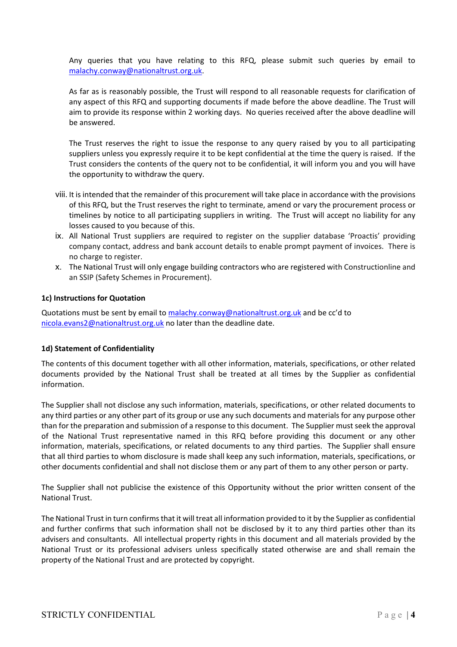Any queries that you have relating to this RFQ, please submit such queries by email to [malachy.conway@nationaltrust.org.uk.](mailto:malachy.conway@nationaltrust.org.uk)

As far as is reasonably possible, the Trust will respond to all reasonable requests for clarification of any aspect of this RFQ and supporting documents if made before the above deadline. The Trust will aim to provide its response within 2 working days. No queries received after the above deadline will be answered.

The Trust reserves the right to issue the response to any query raised by you to all participating suppliers unless you expressly require it to be kept confidential at the time the query is raised. If the Trust considers the contents of the query not to be confidential, it will inform you and you will have the opportunity to withdraw the query.

- viii. It is intended that the remainder of this procurement will take place in accordance with the provisions of this RFQ, but the Trust reserves the right to terminate, amend or vary the procurement process or timelines by notice to all participating suppliers in writing. The Trust will accept no liability for any losses caused to you because of this.
- ix. All National Trust suppliers are required to register on the supplier database 'Proactis' providing company contact, address and bank account details to enable prompt payment of invoices. There is no charge to register.
- x. The National Trust will only engage building contractors who are registered with Constructionline and an SSIP (Safety Schemes in Procurement).

## **1c) Instructions for Quotation**

Quotations must be sent by email to [malachy.conway@nationaltrust.org.uk](mailto:malachy.conway@nationaltrust.org.uk) and be cc'd to [nicola.evans2@nationaltrust.org.uk](mailto:nicola.evans2@nationaltrust.org.uk) no later than the deadline date.

## **1d) Statement of Confidentiality**

The contents of this document together with all other information, materials, specifications, or other related documents provided by the National Trust shall be treated at all times by the Supplier as confidential information.

The Supplier shall not disclose any such information, materials, specifications, or other related documents to any third parties or any other part of its group or use any such documents and materials for any purpose other than for the preparation and submission of a response to this document. The Supplier must seek the approval of the National Trust representative named in this RFQ before providing this document or any other information, materials, specifications, or related documents to any third parties. The Supplier shall ensure that all third parties to whom disclosure is made shall keep any such information, materials, specifications, or other documents confidential and shall not disclose them or any part of them to any other person or party.

The Supplier shall not publicise the existence of this Opportunity without the prior written consent of the National Trust.

The National Trust in turn confirms that it will treat all information provided to it by the Supplier as confidential and further confirms that such information shall not be disclosed by it to any third parties other than its advisers and consultants. All intellectual property rights in this document and all materials provided by the National Trust or its professional advisers unless specifically stated otherwise are and shall remain the property of the National Trust and are protected by copyright.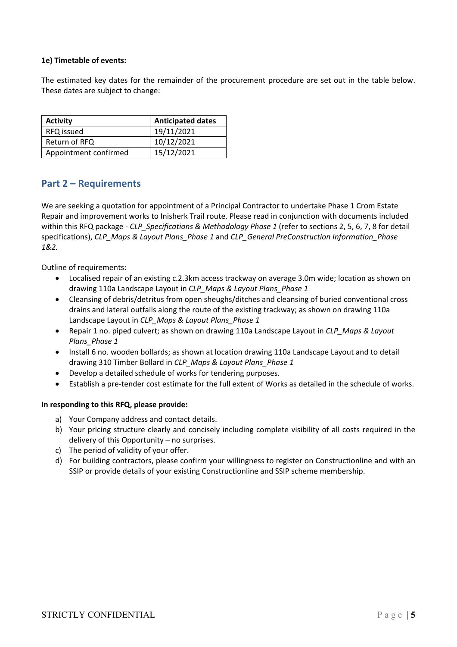## **1e) Timetable of events:**

The estimated key dates for the remainder of the procurement procedure are set out in the table below. These dates are subject to change:

| <b>Activity</b>       | <b>Anticipated dates</b> |
|-----------------------|--------------------------|
| RFQ issued            | 19/11/2021               |
| Return of RFQ         | 10/12/2021               |
| Appointment confirmed | 15/12/2021               |

## **Part 2 – Requirements**

We are seeking a quotation for appointment of a Principal Contractor to undertake Phase 1 Crom Estate Repair and improvement works to Inisherk Trail route. Please read in conjunction with documents included within this RFQ package - *CLP\_Specifications & Methodology Phase 1* (refer to sections 2, 5, 6, 7, 8 for detail specifications), *CLP\_Maps & Layout Plans\_Phase 1* and *CLP\_General PreConstruction Information\_Phase 1&2.*

Outline of requirements:

- Localised repair of an existing c.2.3km access trackway on average 3.0m wide; location as shown on drawing 110a Landscape Layout in *CLP\_Maps & Layout Plans\_Phase 1*
- Cleansing of debris/detritus from open sheughs/ditches and cleansing of buried conventional cross drains and lateral outfalls along the route of the existing trackway; as shown on drawing 110a Landscape Layout in *CLP\_Maps & Layout Plans\_Phase 1*
- Repair 1 no. piped culvert; as shown on drawing 110a Landscape Layout in *CLP\_Maps & Layout Plans\_Phase 1*
- Install 6 no. wooden bollards; as shown at location drawing 110a Landscape Layout and to detail drawing 310 Timber Bollard in *CLP\_Maps & Layout Plans\_Phase 1*
- Develop a detailed schedule of works for tendering purposes.
- Establish a pre-tender cost estimate for the full extent of Works as detailed in the schedule of works.

## **In responding to this RFQ, please provide:**

- a) Your Company address and contact details.
- b) Your pricing structure clearly and concisely including complete visibility of all costs required in the delivery of this Opportunity – no surprises.
- c) The period of validity of your offer.
- d) For building contractors, please confirm your willingness to register on Constructionline and with an SSIP or provide details of your existing Constructionline and SSIP scheme membership.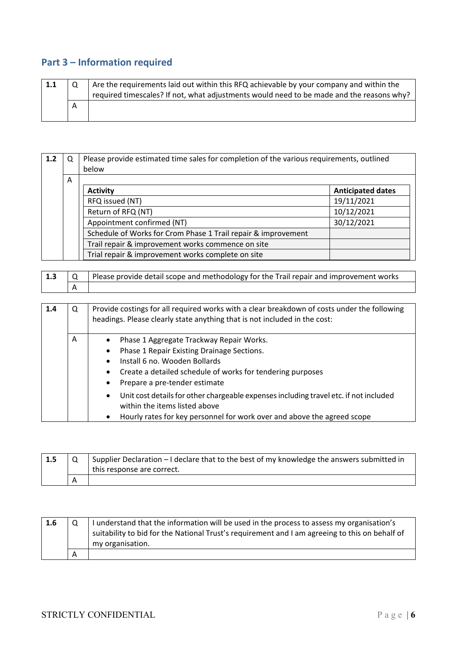## **Part 3 – Information required**

| 1.1 |                | Are the requirements laid out within this RFQ achievable by your company and within the<br>required timescales? If not, what adjustments would need to be made and the reasons why? |
|-----|----------------|-------------------------------------------------------------------------------------------------------------------------------------------------------------------------------------|
|     | $\overline{A}$ |                                                                                                                                                                                     |

| 1.2 | Q | Please provide estimated time sales for completion of the various requirements, outlined<br>below |                          |  |
|-----|---|---------------------------------------------------------------------------------------------------|--------------------------|--|
|     | A |                                                                                                   |                          |  |
|     |   | <b>Activity</b>                                                                                   | <b>Anticipated dates</b> |  |
|     |   | RFQ issued (NT)                                                                                   | 19/11/2021               |  |
|     |   | Return of RFQ (NT)                                                                                | 10/12/2021               |  |
|     |   | Appointment confirmed (NT)                                                                        | 30/12/2021               |  |
|     |   | Schedule of Works for Crom Phase 1 Trail repair & improvement                                     |                          |  |
|     |   | Trail repair & improvement works commence on site                                                 |                          |  |
|     |   | Trial repair & improvement works complete on site                                                 |                          |  |

| $\vert$ 1.3 | Please provide detail scope and methodology for the Trail repair and improvement works |
|-------------|----------------------------------------------------------------------------------------|
|             |                                                                                        |

| 1.4 | Q | Provide costings for all required works with a clear breakdown of costs under the following<br>headings. Please clearly state anything that is not included in the cost: |
|-----|---|--------------------------------------------------------------------------------------------------------------------------------------------------------------------------|
|     | A | Phase 1 Aggregate Trackway Repair Works.<br>$\bullet$                                                                                                                    |
|     |   | Phase 1 Repair Existing Drainage Sections.<br>$\bullet$                                                                                                                  |
|     |   | Install 6 no. Wooden Bollards<br>$\bullet$                                                                                                                               |
|     |   | Create a detailed schedule of works for tendering purposes<br>$\bullet$                                                                                                  |
|     |   | Prepare a pre-tender estimate<br>٠                                                                                                                                       |
|     |   | Unit cost details for other chargeable expenses including travel etc. if not included<br>$\bullet$<br>within the items listed above                                      |
|     |   | Hourly rates for key personnel for work over and above the agreed scope<br>$\bullet$                                                                                     |

| 1.5 | Supplier Declaration - I declare that to the best of my knowledge the answers submitted in<br>I this response are correct. |
|-----|----------------------------------------------------------------------------------------------------------------------------|
|     |                                                                                                                            |

| 1.6 |   | I understand that the information will be used in the process to assess my organisation's<br>suitability to bid for the National Trust's requirement and I am agreeing to this on behalf of<br>my organisation. |
|-----|---|-----------------------------------------------------------------------------------------------------------------------------------------------------------------------------------------------------------------|
|     | Α |                                                                                                                                                                                                                 |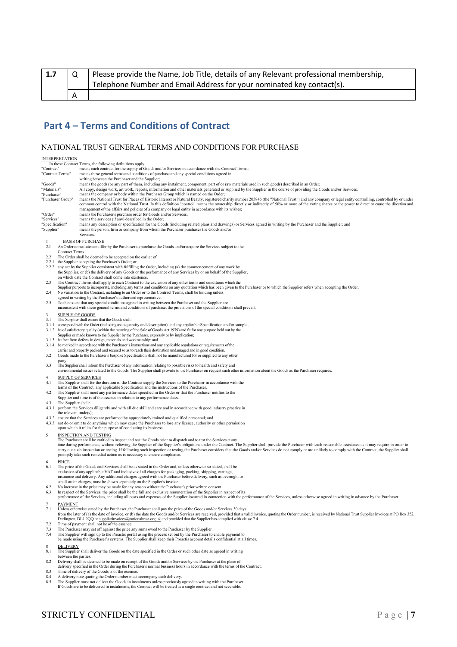| $\vert$ 1.7 | Please provide the Name, Job Title, details of any Relevant professional membership, |  |
|-------------|--------------------------------------------------------------------------------------|--|
|             | I Telephone Number and Email Address for your nominated key contact(s).              |  |
|             |                                                                                      |  |

## **Part 4 – Terms and Conditions of Contract**

## NATIONAL TRUST GENERAL TERMS AND CONDITIONS FOR PURCHASE

|                                | <b>INTERPRETATION</b>                                                                                                                                         | In these Contract Terms, the following definitions apply:                                                                                                                                                                                                                                                                                                                                                                              |  |
|--------------------------------|---------------------------------------------------------------------------------------------------------------------------------------------------------------|----------------------------------------------------------------------------------------------------------------------------------------------------------------------------------------------------------------------------------------------------------------------------------------------------------------------------------------------------------------------------------------------------------------------------------------|--|
| "Contract"<br>"Contract Terms" |                                                                                                                                                               | means each contract for the supply of Goods and/or Services in accordance with the Contract Terms;<br>means these general terms and conditions of purchase and any special conditions agreed in                                                                                                                                                                                                                                        |  |
| "Goods"                        |                                                                                                                                                               | writing between the Purchaser and the Supplier;<br>means the goods (or any part of them, including any instalment, component, part of or raw materials used in such goods) described in an Order;                                                                                                                                                                                                                                      |  |
| "Materials"<br>"Purchaser"     |                                                                                                                                                               | All copy, design work, art work, reports, information and other materials generated or supplied by the Supplier in the course of providing the Goods and/or Services.<br>means the company or body within the Purchaser Group which is named on the Order;                                                                                                                                                                             |  |
|                                | "Purchaser Group"                                                                                                                                             | means the National Trust for Places of Historic Interest or Natural Beauty, registered charity number 205846 (the "National Trust") and any company or legal entity controlling, controlled by or under<br>common control with the National Trust. In this definition "control" means the ownership directly or indirectly of 50% or more of the voting shares or the power to direct or cause the direction and                       |  |
| "Order"                        |                                                                                                                                                               | management of the affairs and policies of a company or legal entity in accordance with its wishes;<br>means the Purchaser's purchase order for Goods and/or Services;                                                                                                                                                                                                                                                                  |  |
| "Services"<br>"Specification"  |                                                                                                                                                               | means the services (if any) described in the Order;<br>means any description or specification for the Goods (including related plans and drawings) or Services agreed in writing by the Purchaser and the Supplier; and                                                                                                                                                                                                                |  |
| "Supplier"                     |                                                                                                                                                               | means the person, firm or company from whom the Purchaser purchases the Goods and/or<br>Services.                                                                                                                                                                                                                                                                                                                                      |  |
| -1<br>2.1                      |                                                                                                                                                               | <b>BASIS OF PURCHASE</b><br>An Order constitutes an offer by the Purchaser to purchase the Goods and/or acquire the Services subject to the                                                                                                                                                                                                                                                                                            |  |
| $2.2^{\circ}$                  | Contract Terms.                                                                                                                                               | The Order shall be deemed to be accepted on the earlier of:                                                                                                                                                                                                                                                                                                                                                                            |  |
|                                |                                                                                                                                                               | 2.2.1 the Supplier accepting the Purchaser's Order; or                                                                                                                                                                                                                                                                                                                                                                                 |  |
|                                |                                                                                                                                                               | 2.2.2 any act by the Supplier consistent with fulfilling the Order, including (a) the commencement of any work by<br>the Supplier, or (b) the delivery of any Goods or the performance of any Services by or on behalf of the Supplier,                                                                                                                                                                                                |  |
| 2.3                            |                                                                                                                                                               | on which date the Contract shall come into existence.<br>The Contract Terms shall apply to each Contract to the exclusion of any other terms and conditions which the                                                                                                                                                                                                                                                                  |  |
| 2.4                            |                                                                                                                                                               | Supplier purports to incorporate, including any terms and conditions on any quotation which has been given to the Purchaser or to which the Supplier refers when accepting the Order.<br>No variation to the Contract, including to an Order or to the Contract Terms, shall be binding unless                                                                                                                                         |  |
| 2.5                            |                                                                                                                                                               | agreed in writing by the Purchaser's authorised representative.<br>To the extent that any special conditions agreed in writing between the Purchaser and the Supplier are                                                                                                                                                                                                                                                              |  |
| 3                              | <b>SUPPLY OF GOODS</b>                                                                                                                                        | inconsistent with these general terms and conditions of purchase, the provisions of the special conditions shall prevail.                                                                                                                                                                                                                                                                                                              |  |
| 3.1                            |                                                                                                                                                               | The Supplier shall ensure that the Goods shall:<br>3.1.1 correspond with the Order (including as to quantity and description) and any applicable Specification and/or sample;                                                                                                                                                                                                                                                          |  |
|                                |                                                                                                                                                               | 3.1.2 be of satisfactory quality (within the meaning of the Sale of Goods Act 1979) and fit for any purpose held out by the                                                                                                                                                                                                                                                                                                            |  |
|                                | Supplier or made known to the Supplier by the Purchaser, expressly or by implication;<br>3.1.3 be free from defects in design, materials and workmanship; and |                                                                                                                                                                                                                                                                                                                                                                                                                                        |  |
|                                |                                                                                                                                                               | 3.1.4 be marked in accordance with the Purchaser's instructions and any applicable regulations or requirements of the<br>carrier and properly packed and secured so as to reach their destination undamaged and in good condition.                                                                                                                                                                                                     |  |
| 3.2                            | party.                                                                                                                                                        | Goods made to the Purchaser's bespoke Specification shall not be manufactured for or supplied to any other                                                                                                                                                                                                                                                                                                                             |  |
| 3.3                            |                                                                                                                                                               | The Supplier shall inform the Purchaser of any information relating to possible risks to health and safety and<br>environmental issues related to the Goods. The Supplier shall provide to the Purchaser on request such other information about the Goods as the Purchaser requires.                                                                                                                                                  |  |
| 4<br>4.1                       |                                                                                                                                                               | <b>SUPPLY OF SERVICES</b><br>The Supplier shall for the duration of the Contract supply the Services to the Purchaser in accordance with the                                                                                                                                                                                                                                                                                           |  |
| 4.2                            |                                                                                                                                                               | terms of the Contract, any applicable Specification and the instructions of the Purchaser.<br>The Supplier shall meet any performance dates specified in the Order or that the Purchaser notifies to the                                                                                                                                                                                                                               |  |
| 4.3                            | The Supplier shall:                                                                                                                                           | Supplier and time is of the essence in relation to any performance dates.                                                                                                                                                                                                                                                                                                                                                              |  |
|                                | the relevant trade(s);                                                                                                                                        | 4.3.1 perform the Services diligently and with all due skill and care and in accordance with good industry practice in                                                                                                                                                                                                                                                                                                                 |  |
|                                |                                                                                                                                                               | 4.3.2 ensure that the Services are performed by appropriately trained and qualified personnel; and<br>4.3.3 not do or omit to do anything which may cause the Purchaser to lose any licence, authority or other permission                                                                                                                                                                                                             |  |
|                                |                                                                                                                                                               | upon which it relies for the purpose of conducting its business.                                                                                                                                                                                                                                                                                                                                                                       |  |
| 5                              |                                                                                                                                                               | <b>INSPECTION AND TESTING</b><br>The Purchaser shall be entitled to inspect and test the Goods prior to dispatch and to test the Services at any                                                                                                                                                                                                                                                                                       |  |
|                                |                                                                                                                                                               | time during performance, without relieving the Supplier of the Supplier's obligations under the Contract. The Supplier shall provide the Purchaser with such reasonable assistance as it may require in order to<br>carry out such inspection or testing. If following such inspection or testing the Purchaser considers that the Goods and/or Services do not comply or are unlikely to comply with the Contract, the Supplier shall |  |
| 6                              | PRICE                                                                                                                                                         | promptly take such remedial action as is necessary to ensure compliance.                                                                                                                                                                                                                                                                                                                                                               |  |
| 6.1                            |                                                                                                                                                               | The price of the Goods and Services shall be as stated in the Order and, unless otherwise so stated, shall be<br>exclusive of any applicable VAT and inclusive of all charges for packaging, packing, shipping, carriage,                                                                                                                                                                                                              |  |
|                                |                                                                                                                                                               | insurance and delivery. Any additional charges agreed with the Purchaser before delivery, such as overnight or<br>small order charges, must be shown separately on the Supplier's invoice.                                                                                                                                                                                                                                             |  |
| 6.2                            |                                                                                                                                                               | No increase in the price may be made for any reason without the Purchaser's prior written consent.<br>In respect of the Services, the price shall be the full and exclusive remuneration of the Supplier in respect of its                                                                                                                                                                                                             |  |
| 6.3                            |                                                                                                                                                               | performance of the Services, including all costs and expenses of the Supplier incurred in connection with the performance of the Services, unless otherwise agreed in writing in advance by the Purchaser.                                                                                                                                                                                                                             |  |
| 7<br>7.1                       | <b>PAYMENT</b>                                                                                                                                                | Unless otherwise stated by the Purchaser, the Purchaser shall pay the price of the Goods and/or Services 30 days                                                                                                                                                                                                                                                                                                                       |  |
|                                |                                                                                                                                                               | from the later of (a) the date of invoice, or (b) the date the Goods and/or Services are received, provided that a valid invoice, quoting the Order number, is received by National Trust Supplier Invoices at PO Box 352,<br>Darlington, DL1 9QQ or supplierinvoices@nationaltrust.org.uk and provided that the Supplier has complied with clause 7.4.                                                                                |  |
| 7.2<br>7.3                     |                                                                                                                                                               | Time of payment shall not be of the essence.<br>The Purchaser may set off against the price any sums owed to the Purchaser by the Supplier.                                                                                                                                                                                                                                                                                            |  |
| 7.4                            |                                                                                                                                                               | The Supplier will sign up to the Proactis portal using the process set out by the Purchaser to enable payment to<br>be made using the Purchaser's systems. The Supplier shall keep their Proactis account details confidential at all times.                                                                                                                                                                                           |  |
| 8                              | <b>DELIVERY</b>                                                                                                                                               |                                                                                                                                                                                                                                                                                                                                                                                                                                        |  |
| 8.1                            | between the parties.                                                                                                                                          | The Supplier shall deliver the Goods on the date specified in the Order or such other date as agreed in writing                                                                                                                                                                                                                                                                                                                        |  |
| 8.2                            |                                                                                                                                                               | Delivery shall be deemed to be made on receipt of the Goods and/or Services by the Purchaser at the place of<br>delivery specified in the Order during the Purchaser's normal business hours in accordance with the terms of the Contract.                                                                                                                                                                                             |  |
|                                |                                                                                                                                                               | Time of delivery of the Goods is of the essence                                                                                                                                                                                                                                                                                                                                                                                        |  |

- 
- 8.3 Time of delivery of the Goods is of the essence.<br>8.4 A delivery note quoting the Order number must accompany each delivery.<br>8.5 The Supplier must not deliver the Goods in instalments unless previously agreed in writing
- 

## STRICTLY CONFIDENTIAL Page | **7**